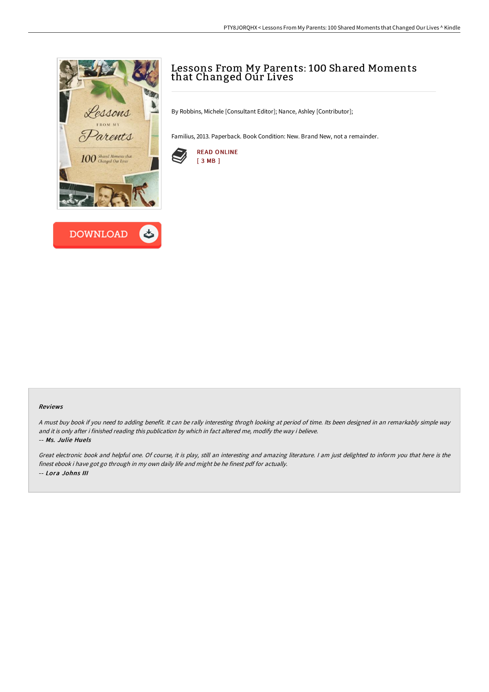



## Lessons From My Parents: 100 Shared Moments that Changed Our Lives

By Robbins, Michele [Consultant Editor]; Nance, Ashley [Contributor];

Familius, 2013. Paperback. Book Condition: New. Brand New, not a remainder.



## Reviews

A must buy book if you need to adding benefit. It can be rally interesting throgh looking at period of time. Its been designed in an remarkably simple way and it is only after i finished reading this publication by which in fact altered me, modify the way i believe. -- Ms. Julie Huels

Great electronic book and helpful one. Of course, it is play, still an interesting and amazing literature. <sup>I</sup> am just delighted to inform you that here is the finest ebook i have got go through in my own daily life and might be he finest pdf for actually. -- Lora Johns III